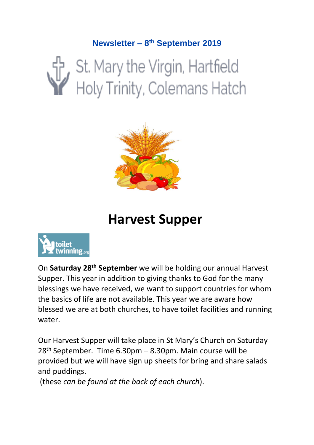#### **Newsletter – 8 th September 2019**

# St. Mary the Virgin, Hartfield<br>Holy Trinity, Colemans Hatch



# **Harvest Supper**



On **Saturday 28th September** we will be holding our annual Harvest Supper. This year in addition to giving thanks to God for the many blessings we have received, we want to support countries for whom the basics of life are not available. This year we are aware how blessed we are at both churches, to have toilet facilities and running water.

Our Harvest Supper will take place in St Mary's Church on Saturday  $28<sup>th</sup>$  September. Time 6.30pm – 8.30pm. Main course will be provided but we will have sign up sheets for bring and share salads and puddings.

(these *can be found at the back of each church*).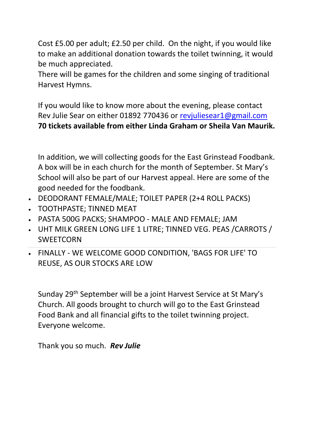Cost £5.00 per adult; £2.50 per child. On the night, if you would like to make an additional donation towards the toilet twinning, it would be much appreciated.

There will be games for the children and some singing of traditional Harvest Hymns.

If you would like to know more about the evening, please contact Rev Julie Sear on either 01892 770436 or [revjuliesear1@gmail.com](mailto:revjuliesear1@gmail.com)  **70 tickets available from either Linda Graham or Sheila Van Maurik.**

In addition, we will collecting goods for the East Grinstead Foodbank. A box will be in each church for the month of September. St Mary's School will also be part of our Harvest appeal. Here are some of the good needed for the foodbank.

- DEODORANT FEMALE/MALE; TOILET PAPER (2+4 ROLL PACKS)
- TOOTHPASTE; TINNED MEAT
- PASTA 500G PACKS; SHAMPOO MALE AND FEMALE; JAM
- UHT MILK GREEN LONG LIFE 1 LITRE; TINNED VEG. PEAS /CARROTS / SWEETCORN
- FINALLY WE WELCOME GOOD CONDITION, 'BAGS FOR LIFE' TO REUSE, AS OUR STOCKS ARE LOW

Sunday 29th September will be a joint Harvest Service at St Mary's Church. All goods brought to church will go to the East Grinstead Food Bank and all financial gifts to the toilet twinning project. Everyone welcome.

Thank you so much. *Rev Julie*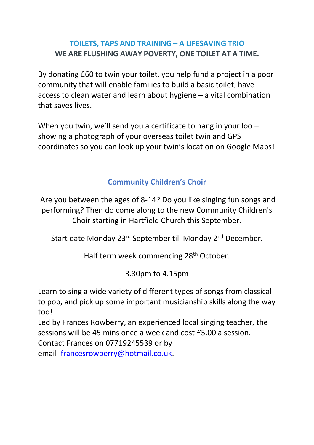#### **TOILETS, TAPS AND TRAINING – A LIFESAVING TRIO WE ARE FLUSHING AWAY POVERTY, ONE TOILET AT A TIME.**

By donating £60 to twin your toilet, you help fund a project in a poor community that will enable families to build a basic toilet, have access to clean water and learn about hygiene – a vital combination that saves lives.

When you twin, we'll send you a certificate to hang in your loo showing a photograph of your overseas toilet twin and GPS coordinates so you can look up your twin's location on Google Maps!

**Community Children's Choir**

Are you between the ages of 8-14? Do you like singing fun songs and performing? Then do come along to the new Community Children's Choir starting in Hartfield Church this September.

Start date Monday 23rd September till Monday 2nd December.

Half term week commencing 28th October.

3.30pm to 4.15pm

Learn to sing a wide variety of different types of songs from classical to pop, and pick up some important musicianship skills along the way too!

Led by Frances Rowberry, an experienced local singing teacher, the sessions will be 45 mins once a week and cost £5.00 a session.

Contact Frances on 07719245539 or by

email [francesrowberry@hotmail.co.uk.](mailto:francesrowberry@hotmail.co.uk)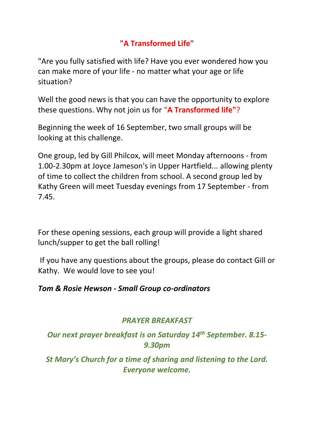#### **"A Transformed Life"**

"Are you fully satisfied with life? Have you ever wondered how you can make more of your life - no matter what your age or life situation?

Well the good news is that you can have the opportunity to explore these questions. Why not join us for "**A Transformed life"**?

Beginning the week of 16 September, two small groups will be looking at this challenge.

One group, led by Gill Philcox, will meet Monday afternoons - from 1.00-2.30pm at Joyce Jameson's in Upper Hartfield... allowing plenty of time to collect the children from school. A second group led by Kathy Green will meet Tuesday evenings from 17 September - from 7.45.

For these opening sessions, each group will provide a light shared lunch/supper to get the ball rolling!

If you have any questions about the groups, please do contact Gill or Kathy. We would love to see you!

#### *Tom & Rosie Hewson - Small Group co-ordinators*

#### *PRAYER BREAKFAST*

*Our next prayer breakfast is on Saturday 14th September. 8.15- 9.30pm*

*St Mary's Church for a time of sharing and listening to the Lord. Everyone welcome.*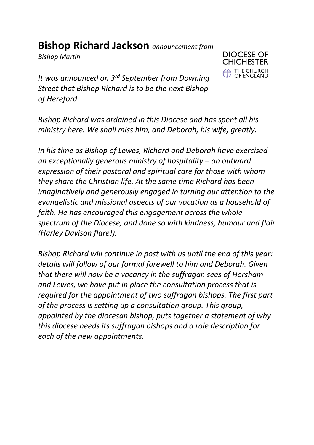## **Bishop Richard Jackson** *announcement from*

*Bishop Martin*



*It was announced on 3rd September from Downing Street that Bishop Richard is to be the next Bishop of Hereford.*

*Bishop Richard was ordained in this Diocese and has spent all his ministry here. We shall miss him, and Deborah, his wife, greatly.* 

*In his time as Bishop of Lewes, Richard and Deborah have exercised an exceptionally generous ministry of hospitality – an outward expression of their pastoral and spiritual care for those with whom they share the Christian life. At the same time Richard has been imaginatively and generously engaged in turning our attention to the evangelistic and missional aspects of our vocation as a household of faith. He has encouraged this engagement across the whole spectrum of the Diocese, and done so with kindness, humour and flair (Harley Davison flare!).*

*Bishop Richard will continue in post with us until the end of this year: details will follow of our formal farewell to him and Deborah. Given that there will now be a vacancy in the suffragan sees of Horsham and Lewes, we have put in place the consultation process that is required for the appointment of two suffragan bishops. The first part of the process is setting up a consultation group. This group, appointed by the diocesan bishop, puts together a statement of why this diocese needs its suffragan bishops and a role description for each of the new appointments.*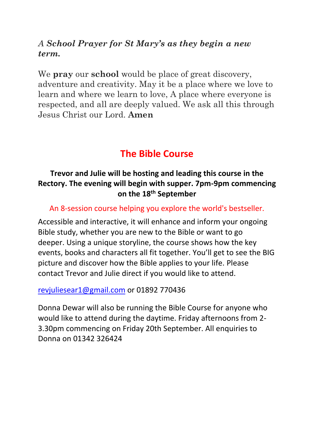#### *A School Prayer for St Mary's as they begin a new term.*

We **pray** our **school** would be place of great discovery, adventure and creativity. May it be a place where we love to learn and where we learn to love, A place where everyone is respected, and all are deeply valued. We ask all this through Jesus Christ our Lord. **Amen**

### **The Bible Course**

#### **Trevor and Julie will be hosting and leading this course in the Rectory. The evening will begin with supper. 7pm-9pm commencing on the 18th September**

#### An 8-session course helping you explore the world's bestseller.

Accessible and interactive, it will enhance and inform your ongoing Bible study, whether you are new to the Bible or want to go deeper. Using a unique storyline, the course shows how the key events, books and characters all fit together. You'll get to see the BIG picture and discover how the Bible applies to your life. Please contact Trevor and Julie direct if you would like to attend.

#### [revjuliesear1@gmail.com](mailto:revjuliesear1@gmail.com) or 01892 770436

Donna Dewar will also be running the Bible Course for anyone who would like to attend during the daytime. Friday afternoons from 2- 3.30pm commencing on Friday 20th September. All enquiries to Donna on 01342 326424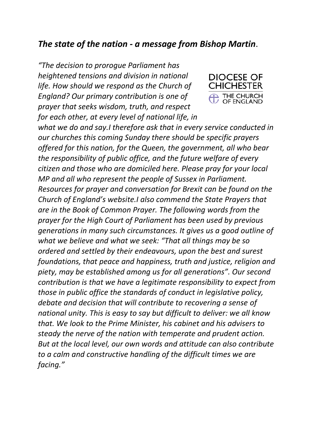#### *The state of the nation - a message from Bishop Martin*.

*"The decision to prorogue Parliament has heightened tensions and division in national life. How should we respond as the Church of England? Our primary contribution is one of prayer that seeks wisdom, truth, and respect for each other, at every level of national life, in* 



*what we do and say.I therefore ask that in every service conducted in our churches this coming Sunday there should be specific prayers offered for this nation, for the Queen, the government, all who bear the responsibility of public office, and the future welfare of every citizen and those who are domiciled here. Please pray for your local MP and all who represent the people of Sussex in Parliament. Resources for prayer and conversation for Brexit can be found on the Church of England's website.I also commend the State Prayers that are in the Book of Common Prayer. The following words from the prayer for the High Court of Parliament has been used by previous generations in many such circumstances. It gives us a good outline of what we believe and what we seek: "That all things may be so ordered and settled by their endeavours, upon the best and surest foundations, that peace and happiness, truth and justice, religion and piety, may be established among us for all generations". Our second contribution is that we have a legitimate responsibility to expect from those in public office the standards of conduct in legislative policy, debate and decision that will contribute to recovering a sense of national unity. This is easy to say but difficult to deliver: we all know that. We look to the Prime Minister, his cabinet and his advisers to steady the nerve of the nation with temperate and prudent action. But at the local level, our own words and attitude can also contribute to a calm and constructive handling of the difficult times we are facing."*